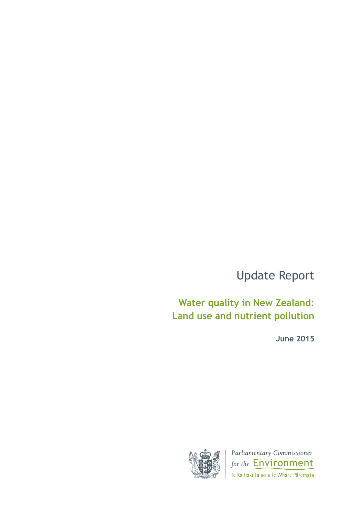Update Report

**Water quality in New Zealand: Land use and nutrient pollution**

 **June 2015**



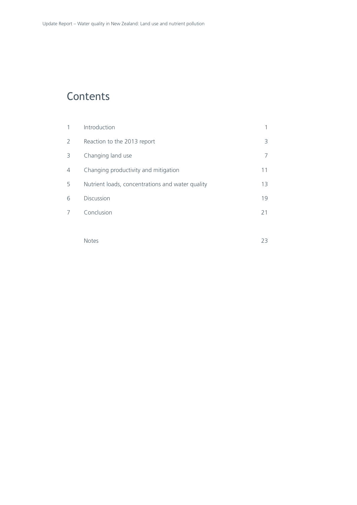# **<sup>2</sup>** Contents

| 1 | Introduction                                     |    |
|---|--------------------------------------------------|----|
| 2 | Reaction to the 2013 report                      | 3  |
| 3 | Changing land use                                | 7  |
| 4 | Changing productivity and mitigation             | 11 |
| 5 | Nutrient loads, concentrations and water quality | 13 |
| 6 | Discussion                                       | 19 |
| 7 | Conclusion                                       | 21 |
|   |                                                  |    |

Notes 23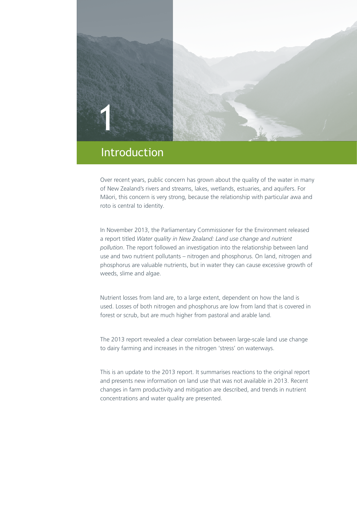

# **Introduction**

Over recent years, public concern has grown about the quality of the water in many of New Zealand's rivers and streams, lakes, wetlands, estuaries, and aquifers. For Māori, this concern is very strong, because the relationship with particular awa and roto is central to identity.

In November 2013, the Parliamentary Commissioner for the Environment released a report titled *Water quality in New Zealand: Land use change and nutrient pollution*. The report followed an investigation into the relationship between land use and two nutrient pollutants – nitrogen and phosphorus. On land, nitrogen and phosphorus are valuable nutrients, but in water they can cause excessive growth of weeds, slime and algae.

Nutrient losses from land are, to a large extent, dependent on how the land is used. Losses of both nitrogen and phosphorus are low from land that is covered in forest or scrub, but are much higher from pastoral and arable land.

The 2013 report revealed a clear correlation between large-scale land use change to dairy farming and increases in the nitrogen 'stress' on waterways.

This is an update to the 2013 report. It summarises reactions to the original report and presents new information on land use that was not available in 2013. Recent changes in farm productivity and mitigation are described, and trends in nutrient concentrations and water quality are presented.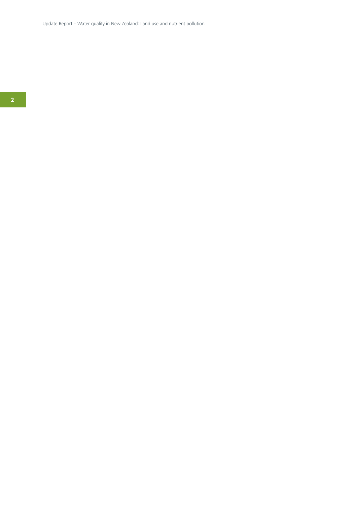Update Report – Water quality in New Zealand: Land use and nutrient pollution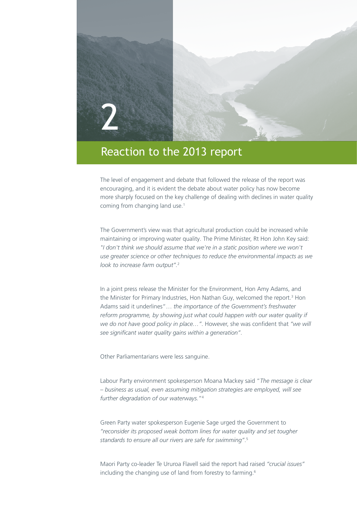

## Reaction to the 2013 report

The level of engagement and debate that followed the release of the report was encouraging, and it is evident the debate about water policy has now become more sharply focused on the key challenge of dealing with declines in water quality coming from changing land use.<sup>1</sup>

The Government's view was that agricultural production could be increased while maintaining or improving water quality. The Prime Minister, Rt Hon John Key said: *"I don't think we should assume that we're in a static position where we won't use greater science or other techniques to reduce the environmental impacts as we look to increase farm output".*<sup>2</sup>

In a joint press release the Minister for the Environment, Hon Amy Adams, and the Minister for Primary Industries, Hon Nathan Guy, welcomed the report.<sup>3</sup> Hon Adams said it underlines"… *the importance of the Government's freshwater*  reform programme, by showing just what could happen with our water quality if *we do not have good policy in place…"*. However, she was confident that *"we will see significant water quality gains within a generation"*.

Other Parliamentarians were less sanguine.

Labour Party environment spokesperson Moana Mackey said "*The message is clear – business as usual, even assuming mitigation strategies are employed, will see further degradation of our waterways.*"4

Green Party water spokesperson Eugenie Sage urged the Government to *"reconsider its proposed weak bottom lines for water quality and set tougher standards to ensure all our rivers are safe for swimming"*. 5

Maori Party co-leader Te Ururoa Flavell said the report had raised *"crucial issues"* including the changing use of land from forestry to farming.<sup>6</sup>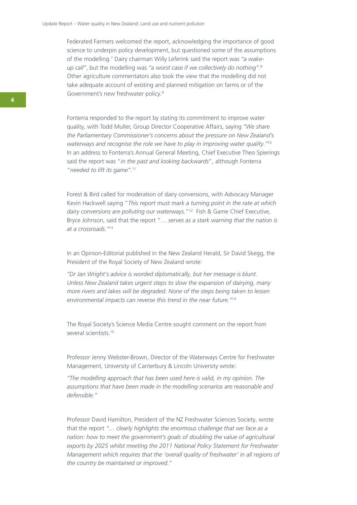Federated Farmers welcomed the report, acknowledging the importance of good science to underpin policy development, but questioned some of the assumptions of the modelling.7 Dairy chairman Willy Leferink said the report was *"a wakeup call"*, but the modelling was *"a worst case if we collectively do nothing"*. 8 Other agriculture commentators also took the view that the modelling did not take adequate account of existing and planned mitigation on farms or of the Government's new freshwater policy.<sup>9</sup>

Fonterra responded to the report by stating its commitment to improve water quality, with Todd Muller, Group Director Cooperative Affairs, saying *"We share the Parliamentary Commissioner's concerns about the pressure on New Zealand's waterways and recognise the role we have to play in improving water quality."*10 In an address to Fonterra's Annual General Meeting, Chief Executive Theo Spierings said the report was "*in the past and looking backwards*", although Fonterra "*needed to lift its game"*. 11

Forest & Bird called for moderation of dairy conversions, with Advocacy Manager Kevin Hackwell saying "*This report must mark a turning point in the rate at which dairy conversions are polluting our waterways.*"12 Fish & Game Chief Executive, Bryce Johnson, said that the report "… *serves as a stark warning that the nation is at a crossroads."*<sup>13</sup>

In an Opinion-Editorial published in the New Zealand Herald, Sir David Skegg, the President of the Royal Society of New Zealand wrote:

*"Dr Jan Wright's advice is worded diplomatically, but her message is blunt. Unless New Zealand takes urgent steps to slow the expansion of dairying, many more rivers and lakes will be degraded. None of the steps being taken to lessen environmental impacts can reverse this trend in the near future."*<sup>14</sup>

The Royal Society's Science Media Centre sought comment on the report from several scientists.15

Professor Jenny Webster-Brown, Director of the Waterways Centre for Freshwater Management, University of Canterbury & Lincoln University wrote:

*"The modelling approach that has been used here is valid, in my opinion. The assumptions that have been made in the modelling scenarios are reasonable and defensible."* 

Professor David Hamilton, President of the NZ Freshwater Sciences Society, wrote that the report *"… clearly highlights the enormous challenge that we face as a nation: how to meet the government's goals of doubling the value of agricultural exports by 2025 whilst meeting the 2011 National Policy Statement for Freshwater Management which requires that the 'overall quality of freshwater' in all regions of the country be maintained or improved."*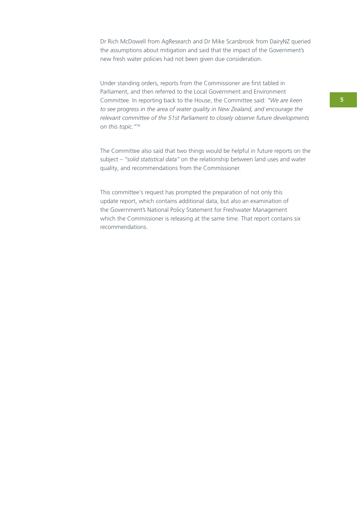Dr Rich McDowell from AgResearch and Dr Mike Scarsbrook from DairyNZ queried the assumptions about mitigation and said that the impact of the Government's new fresh water policies had not been given due consideration.

Under standing orders, reports from the Commissioner are first tabled in Parliament, and then referred to the Local Government and Environment Committee. In reporting back to the House, the Committee said: *"We are keen to see progress in the area of water quality in New Zealand, and encourage the relevant committee of the 51st Parliament to closely observe future developments on this topic."*<sup>16</sup>

The Committee also said that two things would be helpful in future reports on the subject – *"solid statistical data"* on the relationship between land uses and water quality, and recommendations from the Commissioner.

This committee's request has prompted the preparation of not only this update report, which contains additional data, but also an examination of the Government's National Policy Statement for Freshwater Management which the Commissioner is releasing at the same time. That report contains six recommendations.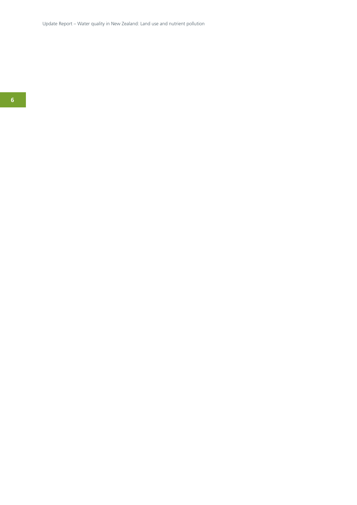Update Report – Water quality in New Zealand: Land use and nutrient pollution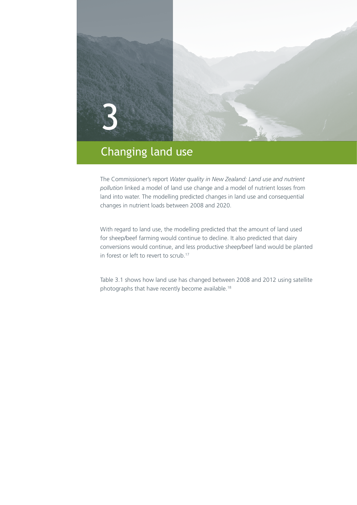

## Changing land use

The Commissioner's report *Water quality in New Zealand: Land use and nutrient pollution* linked a model of land use change and a model of nutrient losses from land into water. The modelling predicted changes in land use and consequential changes in nutrient loads between 2008 and 2020.

With regard to land use, the modelling predicted that the amount of land used for sheep/beef farming would continue to decline. It also predicted that dairy conversions would continue, and less productive sheep/beef land would be planted in forest or left to revert to scrub.17

Table 3.1 shows how land use has changed between 2008 and 2012 using satellite photographs that have recently become available.18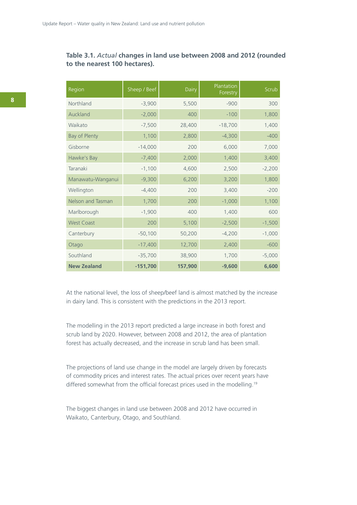#### **Table 3.1.** *Actual* **changes in land use between 2008 and 2012 (rounded to the nearest 100 hectares).**

| Region               | Sheep / Beef | Dairy   | Plantation<br>Forestry | Scrub    |
|----------------------|--------------|---------|------------------------|----------|
| Northland            | $-3,900$     | 5,500   | $-900$                 | 300      |
| Auckland             | $-2,000$     | 400     | $-100$                 | 1,800    |
| Waikato              | $-7,500$     | 28,400  | $-18,700$              | 1,400    |
| <b>Bay of Plenty</b> | 1,100        | 2,800   | $-4,300$               | $-400$   |
| Gisborne             | $-14,000$    | 200     | 6,000                  | 7,000    |
| Hawke's Bay          | $-7,400$     | 2,000   | 1,400                  | 3,400    |
| Taranaki             | $-1,100$     | 4,600   | 2,500                  | $-2,200$ |
| Manawatu-Wanganui    | $-9,300$     | 6,200   | 3,200                  | 1,800    |
| Wellington           | $-4,400$     | 200     | 3,400                  | $-200$   |
| Nelson and Tasman    | 1,700        | 200     | $-1,000$               | 1,100    |
| Marlborough          | $-1,900$     | 400     | 1,400                  | 600      |
| <b>West Coast</b>    | 200          | 5,100   | $-2,500$               | $-1,500$ |
| Canterbury           | $-50,100$    | 50,200  | $-4,200$               | $-1,000$ |
| Otago                | $-17,400$    | 12,700  | 2,400                  | $-600$   |
| Southland            | $-35,700$    | 38,900  | 1,700                  | $-5,000$ |
| <b>New Zealand</b>   | $-151,700$   | 157,900 | $-9,600$               | 6,600    |

At the national level, the loss of sheep/beef land is almost matched by the increase in dairy land. This is consistent with the predictions in the 2013 report.

The modelling in the 2013 report predicted a large increase in both forest and scrub land by 2020. However, between 2008 and 2012, the area of plantation forest has actually decreased, and the increase in scrub land has been small.

The projections of land use change in the model are largely driven by forecasts of commodity prices and interest rates. The actual prices over recent years have differed somewhat from the official forecast prices used in the modelling.<sup>19</sup>

The biggest changes in land use between 2008 and 2012 have occurred in Waikato, Canterbury, Otago, and Southland.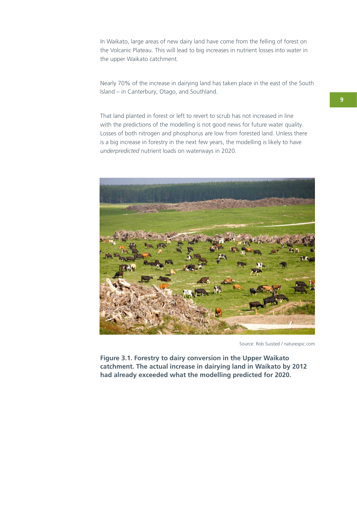In Waikato, large areas of new dairy land have come from the felling of forest on the Volcanic Plateau. This will lead to big increases in nutrient losses into water in the upper Waikato catchment.

Nearly 70% of the increase in dairying land has taken place in the east of the South Island – in Canterbury, Otago, and Southland.

That land planted in forest or left to revert to scrub has not increased in line with the predictions of the modelling is not good news for future water quality. Losses of both nitrogen and phosphorus are low from forested land. Unless there is a big increase in forestry in the next few years, the modelling is likely to have *underpredicted* nutrient loads on waterways in 2020.



Source: Rob Suisted / naturespic.com

**Figure 3.1. Forestry to dairy conversion in the Upper Waikato catchment. The actual increase in dairying land in Waikato by 2012 had already exceeded what the modelling predicted for 2020.**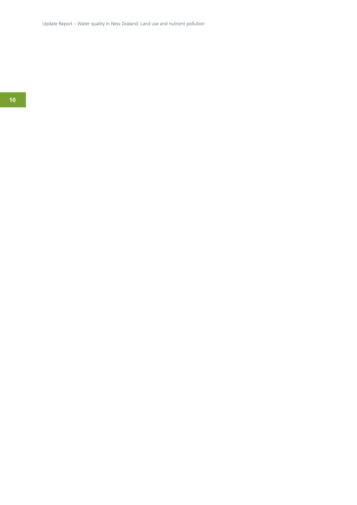Update Report – Water quality in New Zealand: Land use and nutrient pollution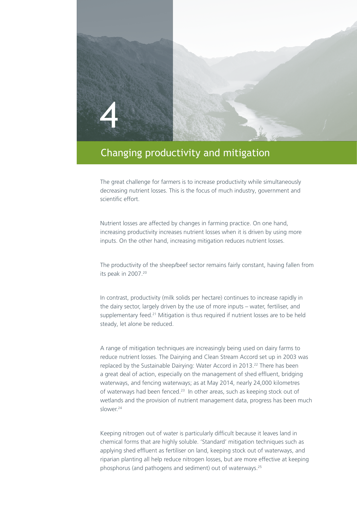

### Changing productivity and mitigation

The great challenge for farmers is to increase productivity while simultaneously decreasing nutrient losses. This is the focus of much industry, government and scientific effort.

Nutrient losses are affected by changes in farming practice. On one hand, increasing productivity increases nutrient losses when it is driven by using more inputs. On the other hand, increasing mitigation reduces nutrient losses.

The productivity of the sheep/beef sector remains fairly constant, having fallen from its peak in 2007.20

In contrast, productivity (milk solids per hectare) continues to increase rapidly in the dairy sector, largely driven by the use of more inputs – water, fertiliser, and supplementary feed.<sup>21</sup> Mitigation is thus required if nutrient losses are to be held steady, let alone be reduced.

A range of mitigation techniques are increasingly being used on dairy farms to reduce nutrient losses. The Dairying and Clean Stream Accord set up in 2003 was replaced by the Sustainable Dairying: Water Accord in 2013.<sup>22</sup> There has been a great deal of action, especially on the management of shed effluent, bridging waterways, and fencing waterways; as at May 2014, nearly 24,000 kilometres of waterways had been fenced.<sup>23</sup> In other areas, such as keeping stock out of wetlands and the provision of nutrient management data, progress has been much slower.24

Keeping nitrogen out of water is particularly difficult because it leaves land in chemical forms that are highly soluble. 'Standard' mitigation techniques such as applying shed effluent as fertiliser on land, keeping stock out of waterways, and riparian planting all help reduce nitrogen losses, but are more effective at keeping phosphorus (and pathogens and sediment) out of waterways.25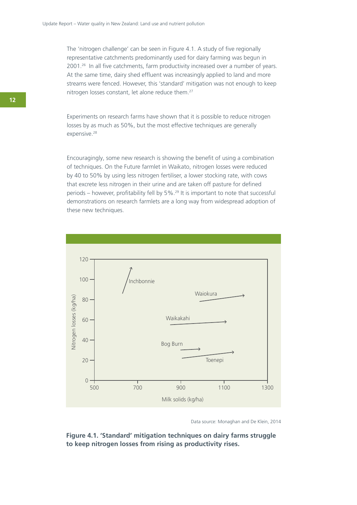The 'nitrogen challenge' can be seen in Figure 4.1. A study of five regionally representative catchments predominantly used for dairy farming was begun in 2001.26 In all five catchments, farm productivity increased over a number of years. At the same time, dairy shed effluent was increasingly applied to land and more streams were fenced. However, this 'standard' mitigation was not enough to keep nitrogen losses constant, let alone reduce them.27

Experiments on research farms have shown that it is possible to reduce nitrogen losses by as much as 50%, but the most effective techniques are generally expensive.<sup>28</sup>

Encouragingly, some new research is showing the benefit of using a combination of techniques. On the Future farmlet in Waikato, nitrogen losses were reduced by 40 to 50% by using less nitrogen fertiliser, a lower stocking rate, with cows that excrete less nitrogen in their urine and are taken off pasture for defined periods – however, profitability fell by 5%.29 It is important to note that successful demonstrations on research farmlets are a long way from widespread adoption of these new techniques.



Data source: Monaghan and De Klein, 2014

**Figure 4.1. 'Standard' mitigation techniques on dairy farms struggle to keep nitrogen losses from rising as productivity rises.**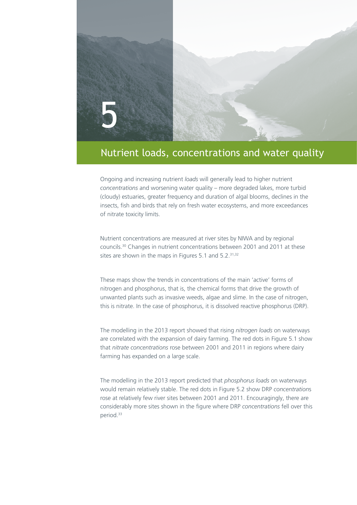

#### Nutrient loads, concentrations and water quality

Ongoing and increasing nutrient *loads* will generally lead to higher nutrient *concentrations* and worsening water quality – more degraded lakes, more turbid (cloudy) estuaries, greater frequency and duration of algal blooms, declines in the insects, fish and birds that rely on fresh water ecosystems, and more exceedances of nitrate toxicity limits.

Nutrient concentrations are measured at river sites by NIWA and by regional councils.30 Changes in nutrient concentrations between 2001 and 2011 at these sites are shown in the maps in Figures 5.1 and  $5.2^{31,32}$ 

These maps show the trends in concentrations of the main 'active' forms of nitrogen and phosphorus, that is, the chemical forms that drive the growth of unwanted plants such as invasive weeds, algae and slime. In the case of nitrogen, this is nitrate. In the case of phosphorus, it is dissolved reactive phosphorus (DRP).

The modelling in the 2013 report showed that rising *nitrogen loads* on waterways are correlated with the expansion of dairy farming. The red dots in Figure 5.1 show that *nitrate concentrations* rose between 2001 and 2011 in regions where dairy farming has expanded on a large scale.

The modelling in the 2013 report predicted that *phosphorus loads* on waterways would remain relatively stable. The red dots in Figure 5.2 show DRP *concentration*s rose at relatively few river sites between 2001 and 2011. Encouragingly, there are considerably more sites shown in the figure where DRP *concentrations* fell over this period.33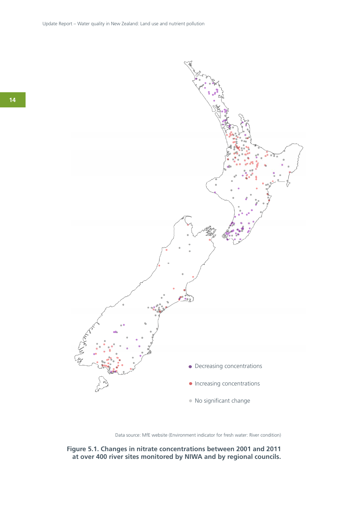

Data source: MfE website (Environment indicator for fresh water: River condition)

**Figure 5.1. Changes in nitrate concentrations between 2001 and 2011 at over 400 river sites monitored by NIWA and by regional councils.**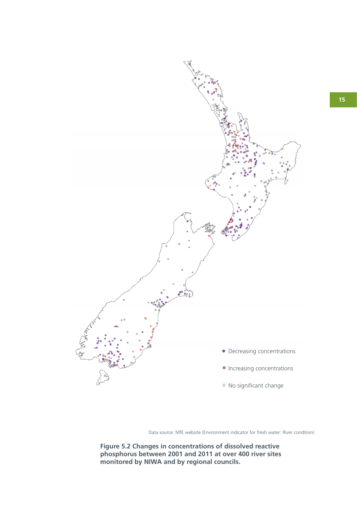

Data source: MfE website (Environment indicator for fresh water: River condition)

**Figure 5.2 Changes in concentrations of dissolved reactive phosphorus between 2001 and 2011 at over 400 river sites monitored by NIWA and by regional councils.**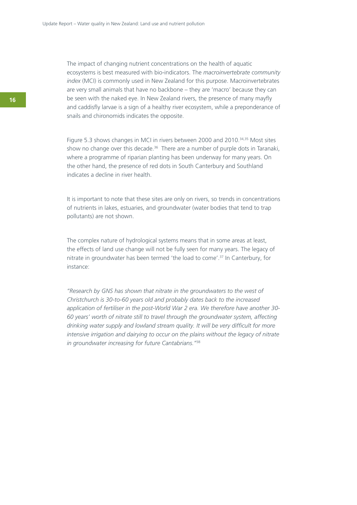The impact of changing nutrient concentrations on the health of aquatic ecosystems is best measured with bio-indicators. The *macroinvertebrate community index* (MCI) is commonly used in New Zealand for this purpose. Macroinvertebrates are very small animals that have no backbone – they are 'macro' because they can be seen with the naked eye. In New Zealand rivers, the presence of many mayfly and caddisfly larvae is a sign of a healthy river ecosystem, while a preponderance of snails and chironomids indicates the opposite.

Figure 5.3 shows changes in MCI in rivers between 2000 and 2010.<sup>34,35</sup> Most sites show no change over this decade.<sup>36</sup> There are a number of purple dots in Taranaki, where a programme of riparian planting has been underway for many years. On the other hand, the presence of red dots in South Canterbury and Southland indicates a decline in river health.

It is important to note that these sites are only on rivers, so trends in concentrations of nutrients in lakes, estuaries, and groundwater (water bodies that tend to trap pollutants) are not shown.

The complex nature of hydrological systems means that in some areas at least, the effects of land use change will not be fully seen for many years. The legacy of nitrate in groundwater has been termed 'the load to come'.37 In Canterbury, for instance:

*"Research by GNS has shown that nitrate in the groundwaters to the west of Christchurch is 30-to-60 years old and probably dates back to the increased application of fertiliser in the post-World War 2 era. We therefore have another 30- 60 years' worth of nitrate still to travel through the groundwater system, affecting drinking water supply and lowland stream quality. It will be very difficult for more intensive irrigation and dairying to occur on the plains without the legacy of nitrate in groundwater increasing for future Cantabrians."*38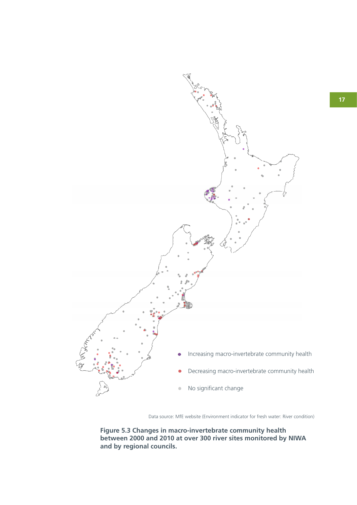

Data source: MfE website (Environment indicator for fresh water: River condition)

**Figure 5.3 Changes in macro-invertebrate community health between 2000 and 2010 at over 300 river sites monitored by NIWA and by regional councils.**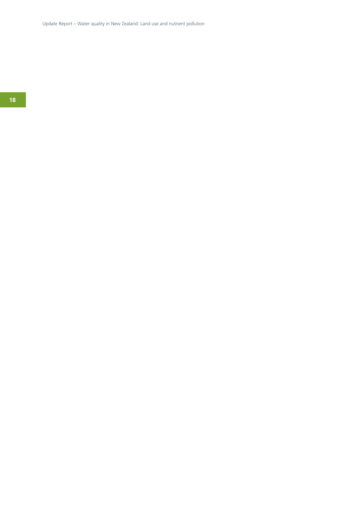Update Report – Water quality in New Zealand: Land use and nutrient pollution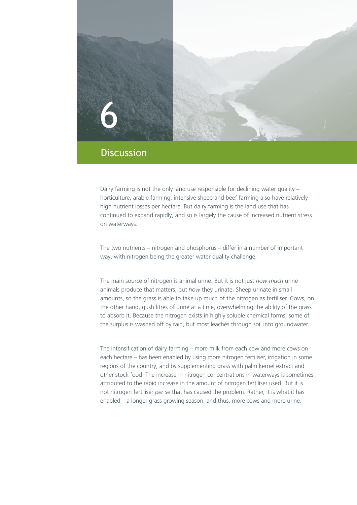

### **Discussion**

Dairy farming is not the only land use responsible for declining water quality – horticulture, arable farming, intensive sheep and beef farming also have relatively high nutrient losses per hectare. But dairy farming is the land use that has continued to expand rapidly, and so is largely the cause of increased nutrient stress on waterways.

The two nutrients – nitrogen and phosphorus – differ in a number of important way, with nitrogen being the greater water quality challenge.

The main source of nitrogen is animal urine. But it is not just *how much* urine animals produce that matters, but *how* they urinate. Sheep urinate in small amounts, so the grass is able to take up much of the nitrogen as fertiliser. Cows, on the other hand, gush litres of urine at a time, overwhelming the ability of the grass to absorb it. Because the nitrogen exists in highly soluble chemical forms, some of the surplus is washed off by rain, but most leaches through soil into groundwater.

The intensification of dairy farming – more milk from each cow and more cows on each hectare – has been enabled by using more nitrogen fertiliser, irrigation in some regions of the country, and by supplementing grass with palm kernel extract and other stock food. The increase in nitrogen concentrations in waterways is sometimes attributed to the rapid increase in the amount of nitrogen fertiliser used. But it is not nitrogen fertiliser *per se* that has caused the problem. Rather, it is what it has enabled – a longer grass growing season, and thus, more cows and more urine.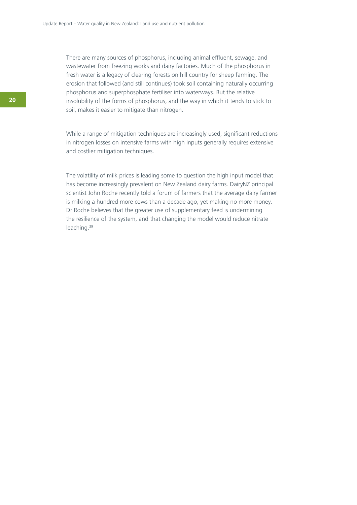There are many sources of phosphorus, including animal effluent, sewage, and wastewater from freezing works and dairy factories. Much of the phosphorus in fresh water is a legacy of clearing forests on hill country for sheep farming. The erosion that followed (and still continues) took soil containing naturally occurring phosphorus and superphosphate fertiliser into waterways. But the relative insolubility of the forms of phosphorus, and the way in which it tends to stick to soil, makes it easier to mitigate than nitrogen.

While a range of mitigation techniques are increasingly used, significant reductions in nitrogen losses on intensive farms with high inputs generally requires extensive and costlier mitigation techniques.

The volatility of milk prices is leading some to question the high input model that has become increasingly prevalent on New Zealand dairy farms. DairyNZ principal scientist John Roche recently told a forum of farmers that the average dairy farmer is milking a hundred more cows than a decade ago, yet making no more money. Dr Roche believes that the greater use of supplementary feed is undermining the resilience of the system, and that changing the model would reduce nitrate leaching.39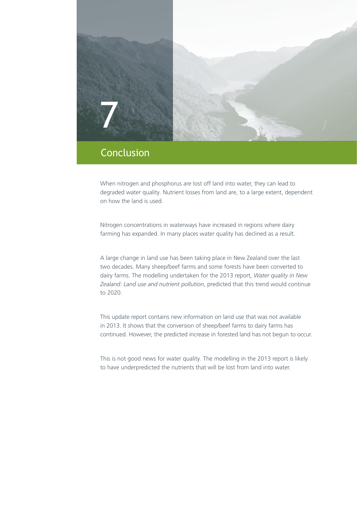

## Conclusion

When nitrogen and phosphorus are lost off land into water, they can lead to degraded water quality. Nutrient losses from land are, to a large extent, dependent on how the land is used.

Nitrogen concentrations in waterways have increased in regions where dairy farming has expanded. In many places water quality has declined as a result.

A large change in land use has been taking place in New Zealand over the last two decades. Many sheep/beef farms and some forests have been converted to dairy farms. The modelling undertaken for the 2013 report, *Water quality in New Zealand: Land use and nutrient pollution*, predicted that this trend would continue to 2020.

This update report contains new information on land use that was not available in 2013. It shows that the conversion of sheep/beef farms to dairy farms has continued. However, the predicted increase in forested land has not begun to occur.

This is not good news for water quality. The modelling in the 2013 report is likely to have underpredicted the nutrients that will be lost from land into water.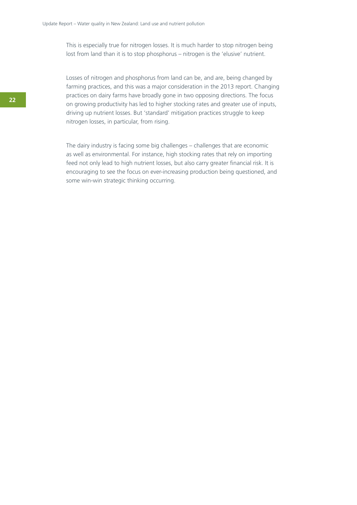This is especially true for nitrogen losses. It is much harder to stop nitrogen being lost from land than it is to stop phosphorus – nitrogen is the 'elusive' nutrient.

Losses of nitrogen and phosphorus from land can be, and are, being changed by farming practices, and this was a major consideration in the 2013 report. Changing practices on dairy farms have broadly gone in two opposing directions. The focus on growing productivity has led to higher stocking rates and greater use of inputs, driving up nutrient losses. But 'standard' mitigation practices struggle to keep nitrogen losses, in particular, from rising.

The dairy industry is facing some big challenges – challenges that are economic as well as environmental. For instance, high stocking rates that rely on importing feed not only lead to high nutrient losses, but also carry greater financial risk. It is encouraging to see the focus on ever-increasing production being questioned, and some win-win strategic thinking occurring.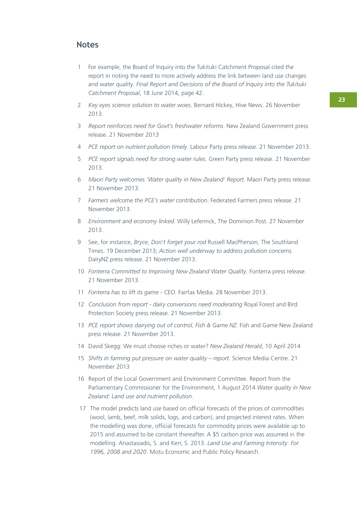#### **Notes**

- 1 For example, the Board of Inquiry into the Tukituki Catchment Proposal cited the report in noting the need to more actively address the link between land use changes and water quality. *Final Report and Decisions of the Board of Inquiry into the Tukituki Catchment Proposal*, 18 June 2014, page 42.
- 2 *Key eyes science solution to water woes*. Bernard Hickey, Hive News. 26 November 2013.
- 3 *Report reinforces need for Govt's freshwater reforms*. New Zealand Government press release. 21 November 2013
- 4 *PCE report on nutrient pollution timely*. Labour Party press release. 21 November 2013.
- 5 *PCE report signals need for strong water rules*. Green Party press release. 21 November 2013.
- 6 *Maori Party welcomes 'Water quality in New Zealand' Report.* Maori Party press release. 21 November 2013.
- 7 *Farmers welcome the PCE's water contribution*. Federated Farmers press release. 21 November 2013.
- 8 *Environment and economy linked*. Willy Leferinck, The Dominion Post. 27 November 2013.
- 9 See, for instance, *Bryce, Don't forget your rod* Russell MacPherson*,* The Southland Times. 19 December 2013; *Action well underway to address pollution concerns.* DairyNZ press release. 21 November 2013.
- 10 *Fonterra Committed to Improving New Zealand Water Quality*. Fonterra press release. 21 November 2013.
- 11 *Fonterra has to lift its game CEO*. Fairfax Media. 28 November 2013.
- 12 *Conclusion from report dairy conversions need moderating* Royal Forest and Bird Protection Society press release. 21 November 2013.
- 13 *PCE report shows dairying out of control, Fish & Game NZ*. Fish and Game New Zealand press release. 21 November 2013.
- 14 David Skegg: We must choose riches or water? *New Zealand Herald*, 10 April 2014
- 15 *Shifts in farming put pressure on water quality report.* Science Media Centre. 21 November 2013
- 16 Report of the Local Government and Environment Committee. Report from the Parliamentary Commissioner for the Environment, 1 August 2014 *Water quality in New Zealand: Land use and nutrient pollution*.
- 17 The model predicts land use based on official forecasts of the prices of commodities (wool, lamb, beef, milk solids, logs, and carbon), and projected interest rates. When the modelling was done, official forecasts for commodity prices were available up to 2015 and assumed to be constant thereafter. A \$5 carbon price was assumed in the modelling. Anastasiadis, S. and Kerr, S. 2013. *Land Use and Farming Intensity: For 1996, 2008 and 2020*. Motu Economic and Public Policy Research.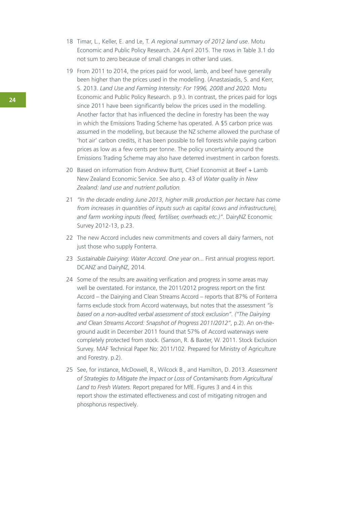- 18 Timar, L., Keller, E. and Le, T. *A regional summary of 2012 land use*. Motu Economic and Public Policy Research. 24 April 2015. The rows in Table 3.1 do not sum to zero because of small changes in other land uses.
- 19 From 2011 to 2014, the prices paid for wool, lamb, and beef have generally been higher than the prices used in the modelling. (Anastasiadis, S. and Kerr, S. 2013. *Land Use and Farming Intensity: For 1996, 2008 and 2020.* Motu Economic and Public Policy Research. p 9.). In contrast, the prices paid for logs since 2011 have been significantly below the prices used in the modelling. Another factor that has influenced the decline in forestry has been the way in which the Emissions Trading Scheme has operated. A \$5 carbon price was assumed in the modelling, but because the NZ scheme allowed the purchase of 'hot air' carbon credits, it has been possible to fell forests while paying carbon prices as low as a few cents per tonne. The policy uncertainty around the Emissions Trading Scheme may also have deterred investment in carbon forests.
- 20 Based on information from Andrew Burtt, Chief Economist at Beef + Lamb New Zealand Economic Service. See also p. 43 of *Water quality in New Zealand: land use and nutrient pollution.*
- 21 *"In the decade ending June 2013, higher milk production per hectare has come from increases in quantities of inputs such as capital (cows and infrastructure), and farm working inputs (feed, fertiliser, overheads etc.)"*. DairyNZ Economic Survey 2012-13, p.23.
- 22 The new Accord includes new commitments and covers all dairy farmers, not just those who supply Fonterra.
- 23 *Sustainable Dairying: Water Accord. One year on...* First annual progress report. DCANZ and DairyNZ, 2014.
- 24 Some of the results are awaiting verification and progress in some areas may well be overstated. For instance, the 2011/2012 progress report on the first Accord – the Dairying and Clean Streams Accord – reports that 87% of Fonterra farms exclude stock from Accord waterways, but notes that the assessment *"is based on a non-audited verbal assessment of stock exclusion". ("The Dairying and Clean Streams Accord: Snapshot of Progress 2011/2012"*, p.2). An on-theground audit in December 2011 found that 57% of Accord waterways were completely protected from stock. (Sanson, R. & Baxter, W. 2011. Stock Exclusion Survey. MAF Technical Paper No: 2011/102. Prepared for Ministry of Agriculture and Forestry. p.2).
- 25 See, for instance, McDowell, R., Wilcock B., and Hamilton, D. 2013. *Assessment of Strategies to Mitigate the Impact or Loss of Contaminants from Agricultural Land to Fresh Waters.* Report prepared for MfE. Figures 3 and 4 in this report show the estimated effectiveness and cost of mitigating nitrogen and phosphorus respectively.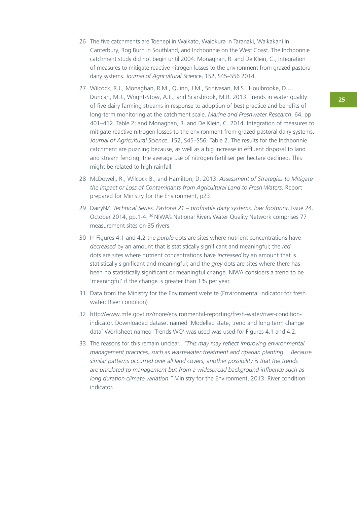- 26 The five catchments are Toenepi in Waikato, Waiokura in Taranaki, Waikakahi in Canterbury, Bog Burn in Southland, and Inchbonnie on the West Coast. The Inchbonnie catchment study did not begin until 2004. Monaghan, R. and De Klein, C., Integration of measures to mitigate reactive nitrogen losses to the environment from grazed pastoral dairy systems. *Journal of Agricultural Scienc*e, 152, S45–S56 2014.
- 27 Wilcock, R.J., Monaghan, R.M., Quinn, J.M., Srinivasan, M.S., Houlbrooke, D.J., Duncan, M.J., Wright-Stow, A.E., and Scarsbrook, M.R. 2013. Trends in water quality of five dairy farming streams in response to adoption of best practice and benefits of long-term monitoring at the catchment scale. *Marine and Freshwater Research*, 64, pp. 401–412. Table 2; and Monaghan, R. and De Klein, C. 2014. Integration of measures to mitigate reactive nitrogen losses to the environment from grazed pastoral dairy systems. *Journal of Agricultural Science*, 152, S45–S56. Table 2. The results for the Inchbonnie catchment are puzzling because, as well as a big increase in effluent disposal to land and stream fencing, the average use of nitrogen fertiliser per hectare declined. This might be related to high rainfall.
- 28 McDowell, R., Wilcock B., and Hamilton, D. 2013. *Assessment of Strategies to Mitigate the Impact or Loss of Contaminants from Agricultural Land to Fresh Waters.* Report prepared for Ministry for the Environment, p23.
- 29 DairyNZ. *Technical Series. Pastoral 21 profitable dairy systems, low footprint*. Issue 24. October 2014, pp.1-4. <sup>30</sup> NIWA's National Rivers Water Quality Network comprises 77 measurement sites on 35 rivers.
- 30 In Figures 4.1 and 4.2 the *purple* dots are sites where nutrient concentrations have *decreased* by an amount that is statistically significant and meaningful; the *red* dots are sites where nutrient concentrations have *increased* by an amount that is statistically significant and meaningful; and the *grey* dots are sites where there has been no statistically significant or meaningful change. NIWA considers a trend to be 'meaningful' if the change is greater than 1% per year.
- 31 Data from the Ministry for the Enviroment website (Environmental indicator for fresh water: River condition)
- 32 http://www.mfe.govt.nz/more/environmental-reporting/fresh-water/river-conditionindicator. Downloaded dataset named 'Modelled state, trend and long term change data' Worksheet named 'Trends WQ' was used was used for Figures 4.1 and 4.2.
- 33 The reasons for this remain unclear. *"This may may reflect improving environmental management practices, such as wastewater treatment and riparian planting… Because similar patterns occurred over all land covers, another possibility is that the trends are unrelated to management but from a widespread background influence such as long duration climate variation."* Ministry for the Environment, 2013. River condition indicator.